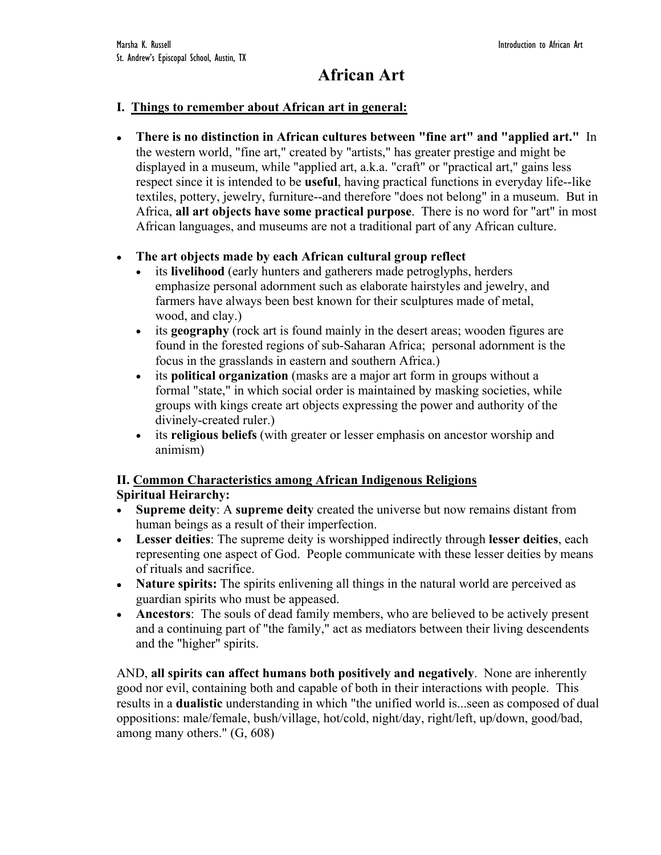# **African Art**

#### **I. Things to remember about African art in general:**

• **There is no distinction in African cultures between "fine art" and "applied art."** In the western world, "fine art," created by "artists," has greater prestige and might be displayed in a museum, while "applied art, a.k.a. "craft" or "practical art," gains less respect since it is intended to be **useful**, having practical functions in everyday life--like textiles, pottery, jewelry, furniture--and therefore "does not belong" in a museum. But in Africa, **all art objects have some practical purpose**. There is no word for "art" in most African languages, and museums are not a traditional part of any African culture.

### • **The art objects made by each African cultural group reflect**

- its **livelihood** (early hunters and gatherers made petroglyphs, herders emphasize personal adornment such as elaborate hairstyles and jewelry, and farmers have always been best known for their sculptures made of metal, wood, and clay.)
- its **geography** (rock art is found mainly in the desert areas; wooden figures are found in the forested regions of sub-Saharan Africa; personal adornment is the focus in the grasslands in eastern and southern Africa.)
- its **political organization** (masks are a major art form in groups without a formal "state," in which social order is maintained by masking societies, while groups with kings create art objects expressing the power and authority of the divinely-created ruler.)
- its **religious beliefs** (with greater or lesser emphasis on ancestor worship and animism)

### **II. Common Characteristics among African Indigenous Religions Spiritual Heirarchy:**

- **Supreme deity**: A **supreme deity** created the universe but now remains distant from human beings as a result of their imperfection.
- **Lesser deities**: The supreme deity is worshipped indirectly through **lesser deities**, each representing one aspect of God. People communicate with these lesser deities by means of rituals and sacrifice.
- **Nature spirits:** The spirits enlivening all things in the natural world are perceived as guardian spirits who must be appeased.
- **Ancestors**: The souls of dead family members, who are believed to be actively present and a continuing part of "the family," act as mediators between their living descendents and the "higher" spirits.

AND, **all spirits can affect humans both positively and negatively**. None are inherently good nor evil, containing both and capable of both in their interactions with people. This results in a **dualistic** understanding in which "the unified world is...seen as composed of dual oppositions: male/female, bush/village, hot/cold, night/day, right/left, up/down, good/bad, among many others." (G, 608)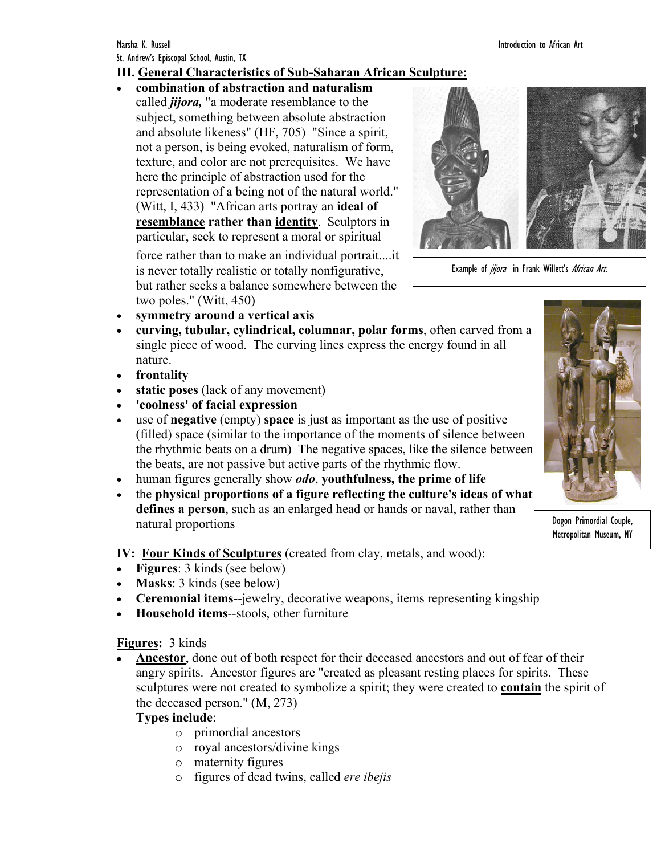## **III. General Characteristics of Sub-Saharan African Sculpture:**

• **combination of abstraction and naturalism**  called *jijora,* "a moderate resemblance to the subject, something between absolute abstraction and absolute likeness" (HF, 705) "Since a spirit, not a person, is being evoked, naturalism of form, texture, and color are not prerequisites. We have here the principle of abstraction used for the representation of a being not of the natural world." (Witt, I, 433) "African arts portray an **ideal of resemblance rather than identity**. Sculptors in particular, seek to represent a moral or spiritual

force rather than to make an individual portrait....it is never totally realistic or totally nonfigurative, but rather seeks a balance somewhere between the two poles." (Witt, 450)



Example of jijora in Frank Willett's African Art.

- **symmetry around a vertical axis**
- **curving, tubular, cylindrical, columnar, polar forms**, often carved from a single piece of wood. The curving lines express the energy found in all nature.
- **frontality**
- **static poses** (lack of any movement)
- **'coolness' of facial expression**
- use of **negative** (empty) **space** is just as important as the use of positive (filled) space (similar to the importance of the moments of silence between the rhythmic beats on a drum) The negative spaces, like the silence between the beats, are not passive but active parts of the rhythmic flow.
- human figures generally show *odo*, **youthfulness, the prime of life**
- the **physical proportions of a figure reflecting the culture's ideas of what defines a person**, such as an enlarged head or hands or naval, rather than natural proportions

**IV: Four Kinds of Sculptures** (created from clay, metals, and wood):

- **Figures**: 3 kinds (see below)
- **Masks**: 3 kinds (see below)
- **Ceremonial items**--jewelry, decorative weapons, items representing kingship
- **Household items**--stools, other furniture

### **Figures:** 3 kinds

• **Ancestor**, done out of both respect for their deceased ancestors and out of fear of their angry spirits. Ancestor figures are "created as pleasant resting places for spirits. These sculptures were not created to symbolize a spirit; they were created to **contain** the spirit of the deceased person." (M, 273)

### **Types include**:

- o primordial ancestors
- o royal ancestors/divine kings
- o maternity figures
- o figures of dead twins, called *ere ibejis*



Dogon Primordial Couple, Metropolitan Museum, NY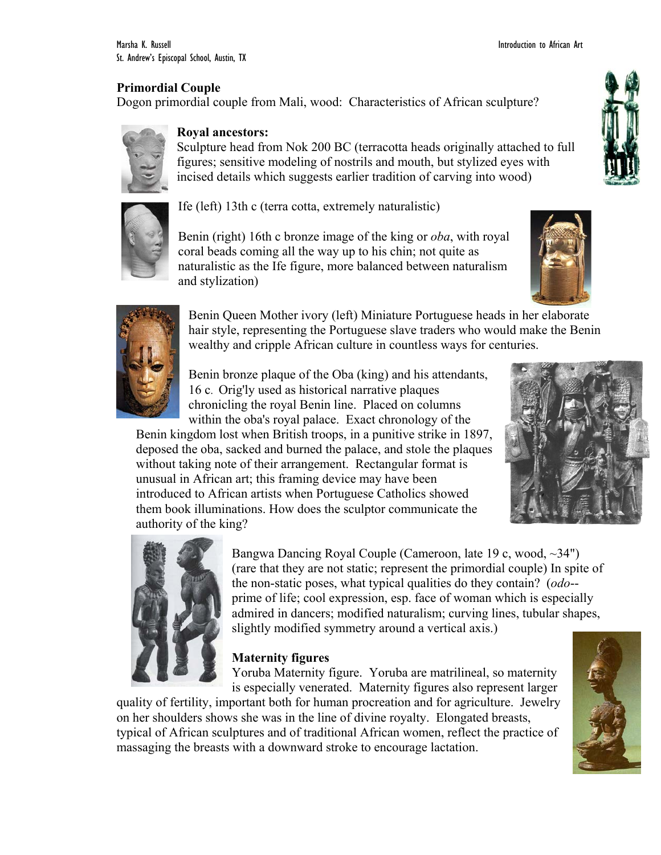## **Primordial Couple**

Dogon primordial couple from Mali, wood: Characteristics of African sculpture?



#### **Royal ancestors:**

Sculpture head from Nok 200 BC (terracotta heads originally attached to full figures; sensitive modeling of nostrils and mouth, but stylized eyes with incised details which suggests earlier tradition of carving into wood)



Ife (left) 13th c (terra cotta, extremely naturalistic)

Benin (right) 16th c bronze image of the king or *oba*, with royal coral beads coming all the way up to his chin; not quite as naturalistic as the Ife figure, more balanced between naturalism and stylization)





Benin Queen Mother ivory (left) Miniature Portuguese heads in her elaborate hair style, representing the Portuguese slave traders who would make the Benin wealthy and cripple African culture in countless ways for centuries.

Benin bronze plaque of the Oba (king) and his attendants, 16 c. Orig'ly used as historical narrative plaques chronicling the royal Benin line. Placed on columns within the oba's royal palace. Exact chronology of the

Benin kingdom lost when British troops, in a punitive strike in 1897, deposed the oba, sacked and burned the palace, and stole the plaques without taking note of their arrangement. Rectangular format is unusual in African art; this framing device may have been introduced to African artists when Portuguese Catholics showed them book illuminations. How does the sculptor communicate the authority of the king?





Bangwa Dancing Royal Couple (Cameroon, late 19 c, wood, ~34") (rare that they are not static; represent the primordial couple) In spite of the non-static poses, what typical qualities do they contain? (*odo*- prime of life; cool expression, esp. face of woman which is especially admired in dancers; modified naturalism; curving lines, tubular shapes, slightly modified symmetry around a vertical axis.)

## **Maternity figures**

Yoruba Maternity figure. Yoruba are matrilineal, so maternity is especially venerated. Maternity figures also represent larger

quality of fertility, important both for human procreation and for agriculture. Jewelry on her shoulders shows she was in the line of divine royalty. Elongated breasts, typical of African sculptures and of traditional African women, reflect the practice of massaging the breasts with a downward stroke to encourage lactation.



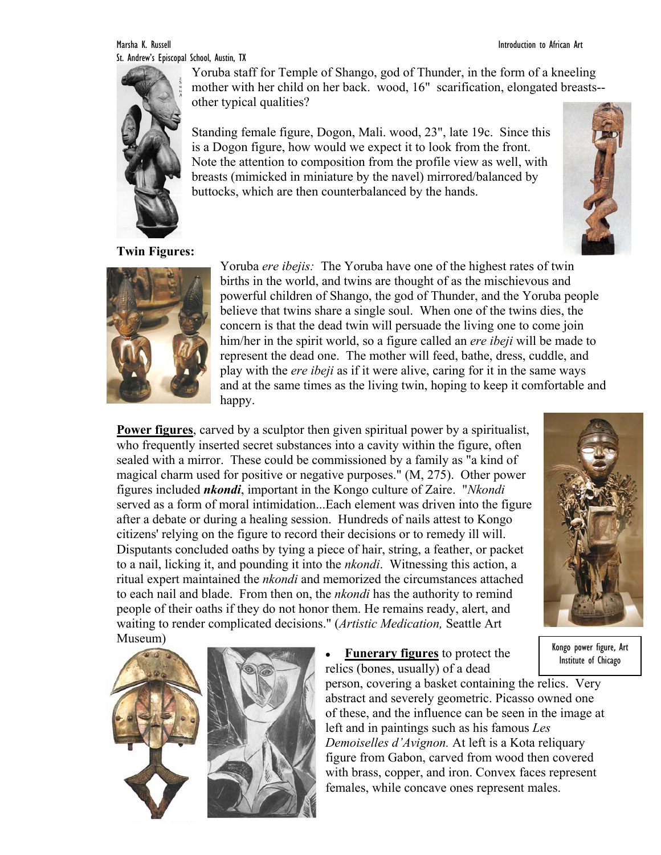Marsha K. Russell Introduction to African Art St. Andrew's Episcopal School, Austin, TX



Yoruba staff for Temple of Shango, god of Thunder, in the form of a kneeling mother with her child on her back. wood, 16" scarification, elongated breasts- other typical qualities?

Standing female figure, Dogon, Mali. wood, 23", late 19c. Since this is a Dogon figure, how would we expect it to look from the front. Note the attention to composition from the profile view as well, with breasts (mimicked in miniature by the navel) mirrored/balanced by buttocks, which are then counterbalanced by the hands.





Yoruba *ere ibejis:* The Yoruba have one of the highest rates of twin births in the world, and twins are thought of as the mischievous and powerful children of Shango, the god of Thunder, and the Yoruba people believe that twins share a single soul. When one of the twins dies, the concern is that the dead twin will persuade the living one to come join him/her in the spirit world, so a figure called an *ere ibeji* will be made to represent the dead one. The mother will feed, bathe, dress, cuddle, and play with the *ere ibeji* as if it were alive, caring for it in the same ways and at the same times as the living twin, hoping to keep it comfortable and happy.

**Power figures**, carved by a sculptor then given spiritual power by a spiritualist, who frequently inserted secret substances into a cavity within the figure, often sealed with a mirror. These could be commissioned by a family as "a kind of magical charm used for positive or negative purposes." (M, 275). Other power figures included *nkondi*, important in the Kongo culture of Zaire. "*Nkondi* served as a form of moral intimidation...Each element was driven into the figure after a debate or during a healing session. Hundreds of nails attest to Kongo citizens' relying on the figure to record their decisions or to remedy ill will. Disputants concluded oaths by tying a piece of hair, string, a feather, or packet to a nail, licking it, and pounding it into the *nkondi*. Witnessing this action, a ritual expert maintained the *nkondi* and memorized the circumstances attached to each nail and blade. From then on, the *nkondi* has the authority to remind people of their oaths if they do not honor them. He remains ready, alert, and waiting to render complicated decisions." (*Artistic Medication,* Seattle Art Museum)



• **Funerary figures** to protect the relics (bones, usually) of a dead

person, covering a basket containing the relics. Very abstract and severely geometric. Picasso owned one of these, and the influence can be seen in the image at left and in paintings such as his famous *Les Demoiselles d'Avignon.* At left is a Kota reliquary figure from Gabon, carved from wood then covered with brass, copper, and iron. Convex faces represent females, while concave ones represent males.



Kongo power figure, Art Institute of Chicago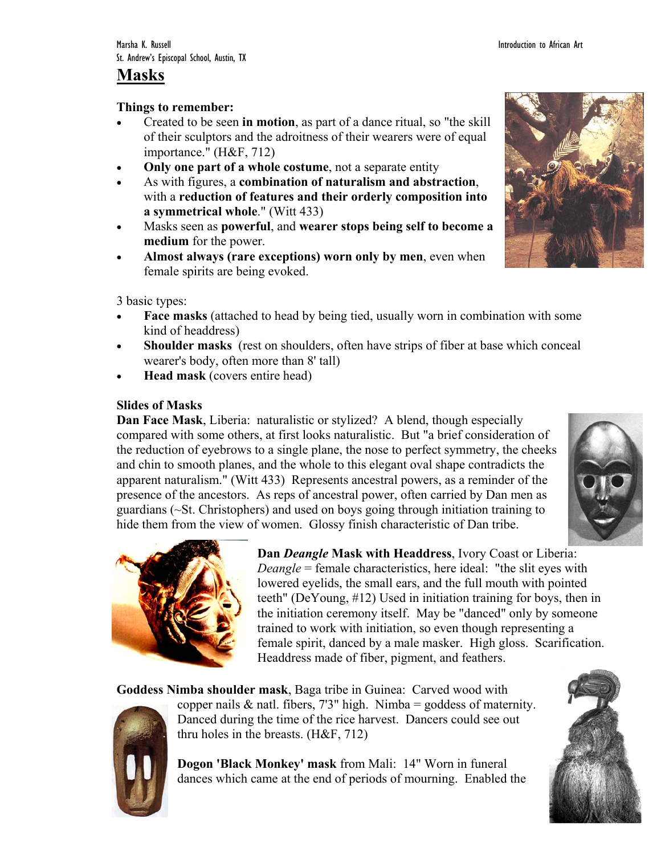## **Masks**

### **Things to remember:**

- Created to be seen **in motion**, as part of a dance ritual, so "the skill of their sculptors and the adroitness of their wearers were of equal importance." (H&F, 712)
- **Only one part of a whole costume**, not a separate entity
- As with figures, a **combination of naturalism and abstraction**, with a **reduction of features and their orderly composition into a symmetrical whole**." (Witt 433)
- Masks seen as **powerful**, and **wearer stops being self to become a medium** for the power.
- **Almost always (rare exceptions) worn only by men**, even when female spirits are being evoked.



3 basic types:

- **Face masks** (attached to head by being tied, usually worn in combination with some kind of headdress)
- **Shoulder masks** (rest on shoulders, often have strips of fiber at base which conceal wearer's body, often more than 8' tall)
- **Head mask** (covers entire head)

## **Slides of Masks**

**Dan Face Mask**, Liberia: naturalistic or stylized? A blend, though especially compared with some others, at first looks naturalistic. But "a brief consideration of the reduction of eyebrows to a single plane, the nose to perfect symmetry, the cheeks and chin to smooth planes, and the whole to this elegant oval shape contradicts the apparent naturalism." (Witt 433) Represents ancestral powers, as a reminder of the presence of the ancestors. As reps of ancestral power, often carried by Dan men as guardians (~St. Christophers) and used on boys going through initiation training to hide them from the view of women. Glossy finish characteristic of Dan tribe.





**Dan** *Deangle* **Mask with Headdress**, Ivory Coast or Liberia: *Deangle* = female characteristics, here ideal: "the slit eyes with lowered eyelids, the small ears, and the full mouth with pointed teeth" (DeYoung, #12) Used in initiation training for boys, then in the initiation ceremony itself. May be "danced" only by someone trained to work with initiation, so even though representing a female spirit, danced by a male masker. High gloss. Scarification. Headdress made of fiber, pigment, and feathers.

**Goddess Nimba shoulder mask**, Baga tribe in Guinea: Carved wood with



copper nails  $\&$  natl. fibers, 7'3" high. Nimba = goddess of maternity. Danced during the time of the rice harvest. Dancers could see out thru holes in the breasts. (H&F, 712)

**Dogon 'Black Monkey' mask** from Mali: 14" Worn in funeral dances which came at the end of periods of mourning. Enabled the

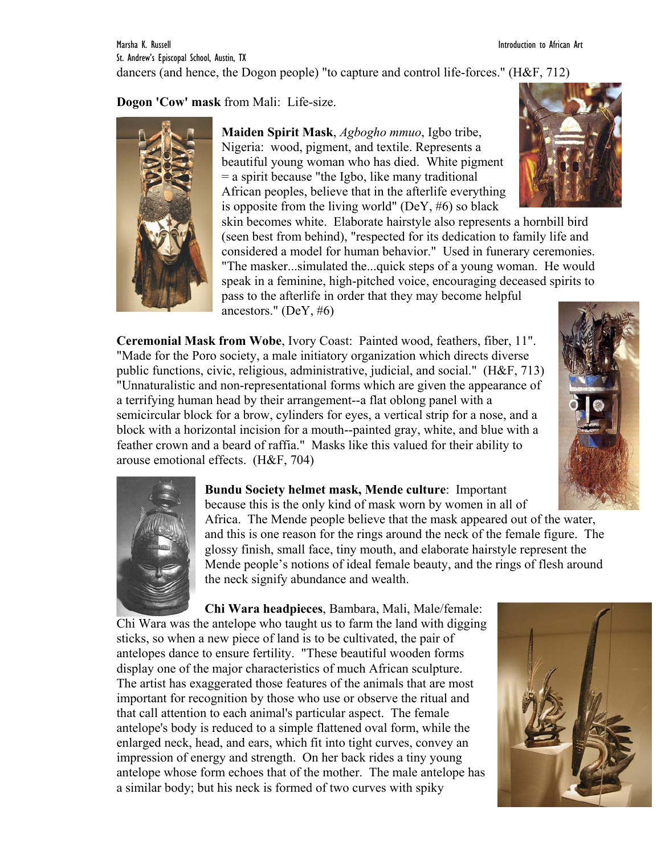Marsha K. Russell Introduction to African Art St. Andrew's Episcopal School, Austin, TX dancers (and hence, the Dogon people) "to capture and control life-forces." (H&F, 712)

**Dogon 'Cow' mask** from Mali: Life-size.



**Maiden Spirit Mask**, *Agbogho mmuo*, Igbo tribe, Nigeria: wood, pigment, and textile. Represents a beautiful young woman who has died. White pigment = a spirit because "the Igbo, like many traditional African peoples, believe that in the afterlife everything is opposite from the living world" (DeY,  $#6$ ) so black

skin becomes white. Elaborate hairstyle also represents a hornbill bird (seen best from behind), "respected for its dedication to family life and considered a model for human behavior." Used in funerary ceremonies. "The masker...simulated the...quick steps of a young woman. He would speak in a feminine, high-pitched voice, encouraging deceased spirits to pass to the afterlife in order that they may become helpful ancestors." (DeY, #6)

**Ceremonial Mask from Wobe**, Ivory Coast: Painted wood, feathers, fiber, 11". "Made for the Poro society, a male initiatory organization which directs diverse public functions, civic, religious, administrative, judicial, and social." (H&F, 713) "Unnaturalistic and non-representational forms which are given the appearance of a terrifying human head by their arrangement--a flat oblong panel with a semicircular block for a brow, cylinders for eyes, a vertical strip for a nose, and a block with a horizontal incision for a mouth--painted gray, white, and blue with a feather crown and a beard of raffia." Masks like this valued for their ability to arouse emotional effects. (H&F, 704)





**Bundu Society helmet mask, Mende culture**: Important because this is the only kind of mask worn by women in all of

Africa. The Mende people believe that the mask appeared out of the water, and this is one reason for the rings around the neck of the female figure. The glossy finish, small face, tiny mouth, and elaborate hairstyle represent the Mende people's notions of ideal female beauty, and the rings of flesh around the neck signify abundance and wealth.

**Chi Wara headpieces**, Bambara, Mali, Male/female: Chi Wara was the antelope who taught us to farm the land with digging sticks, so when a new piece of land is to be cultivated, the pair of antelopes dance to ensure fertility. "These beautiful wooden forms display one of the major characteristics of much African sculpture. The artist has exaggerated those features of the animals that are most important for recognition by those who use or observe the ritual and that call attention to each animal's particular aspect. The female antelope's body is reduced to a simple flattened oval form, while the enlarged neck, head, and ears, which fit into tight curves, convey an impression of energy and strength. On her back rides a tiny young antelope whose form echoes that of the mother. The male antelope has a similar body; but his neck is formed of two curves with spiky